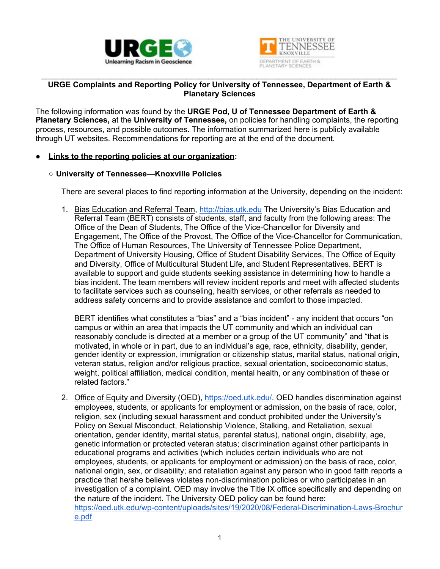



#### \_\_\_\_\_\_\_\_\_\_\_\_\_\_\_\_\_\_\_\_\_\_\_\_\_\_\_\_\_\_\_\_\_\_\_\_\_\_\_\_\_\_\_\_\_\_\_\_\_\_\_\_\_\_\_\_\_\_\_\_\_\_\_\_\_\_\_\_\_\_\_\_\_\_\_\_\_\_\_\_\_ **URGE Complaints and Reporting Policy for University of Tennessee, Department of Earth & Planetary Sciences**

The following information was found by the **URGE Pod, U of Tennessee Department of Earth & Planetary Sciences,** at the **University of Tennessee,** on policies for handling complaints, the reporting process, resources, and possible outcomes. The information summarized here is publicly available through UT websites. Recommendations for reporting are at the end of the document.

## ● **Links to the reporting policies at our organization:**

#### ○ **University of Tennessee—Knoxville Policies**

There are several places to find reporting information at the University, depending on the incident:

1. Bias Education and Referral Team, [http://bias.utk.edu](http://bias.utk.edu/) The University's Bias Education and Referral Team (BERT) consists of students, staff, and faculty from the following areas: The Office of the Dean of Students, The Office of the Vice-Chancellor for Diversity and Engagement, The Office of the Provost, The Office of the Vice-Chancellor for Communication, The Office of Human Resources, The University of Tennessee Police Department, Department of University Housing, Office of Student Disability Services, The Office of Equity and Diversity, Office of Multicultural Student Life, and Student Representatives. BERT is available to support and guide students seeking assistance in determining how to handle a bias incident. The team members will review incident reports and meet with affected students to facilitate services such as counseling, health services, or other referrals as needed to address safety concerns and to provide assistance and comfort to those impacted.

BERT identifies what constitutes a "bias" and a "bias incident" - any incident that occurs "on campus or within an area that impacts the UT community and which an individual can reasonably conclude is directed at a member or a group of the UT community" and "that is motivated, in whole or in part, due to an individual's age, race, ethnicity, disability, gender, gender identity or expression, immigration or citizenship status, marital status, national origin, veteran status, religion and/or religious practice, sexual orientation, socioeconomic status, weight, political affiliation, medical condition, mental health, or any combination of these or related factors."

2. Office of Equity and Diversity (OED), [https://oed.utk.edu/.](https://oed.utk.edu/) OED handles discrimination against employees, students, or applicants for employment or admission, on the basis of race, color, religion, sex (including sexual harassment and conduct prohibited under the University's Policy on Sexual Misconduct, Relationship Violence, Stalking, and Retaliation, sexual orientation, gender identity, marital status, parental status), national origin, disability, age, genetic information or protected veteran status; discrimination against other participants in educational programs and activities (which includes certain individuals who are not employees, students, or applicants for employment or admission) on the basis of race, color, national origin, sex, or disability; and retaliation against any person who in good faith reports a practice that he/she believes violates non-discrimination policies or who participates in an investigation of a complaint. OED may involve the Title IX office specifically and depending on the nature of the incident. The University OED policy can be found here: [https://oed.utk.edu/wp-content/uploads/sites/19/2020/08/Federal-Discrimination-Laws-Brochur](https://oed.utk.edu/wp-content/uploads/sites/19/2020/08/Federal-Discrimination-Laws-Brochure.pdf) [e.pdf](https://oed.utk.edu/wp-content/uploads/sites/19/2020/08/Federal-Discrimination-Laws-Brochure.pdf)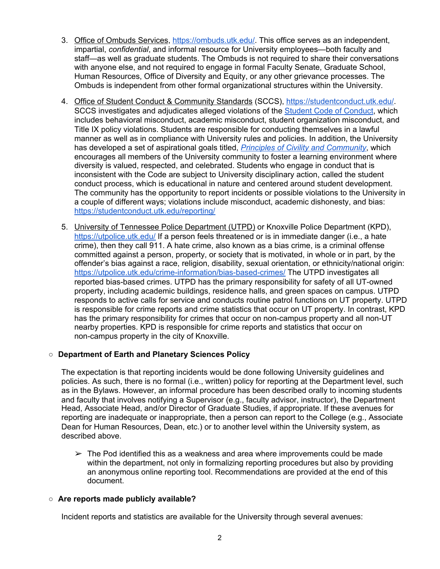- 3. Office of Ombuds Services, [https://ombuds.utk.edu/.](https://ombuds.utk.edu/) This office serves as an independent, impartial, *confidential*, and informal resource for University employees—both faculty and staff—as well as graduate students. The Ombuds is not required to share their conversations with anyone else, and not required to engage in formal Faculty Senate, Graduate School, Human Resources, Office of Diversity and Equity, or any other grievance processes. The Ombuds is independent from other formal organizational structures within the University.
- 4. Office of Student Conduct & Community Standards (SCCS), <https://studentconduct.utk.edu/>. SCCS investigates and adjudicates alleged violations of the Student Code of [Conduct,](https://studentconduct.utk.edu/wp-content/uploads/sites/53/2018/07/Fall-2020-StudentCodeOfConductBook-FINAL.pdf) which includes behavioral misconduct, academic misconduct, student organization misconduct, and Title IX policy violations. Students are responsible for conducting themselves in a lawful manner as well as in compliance with University rules and policies. In addition, the University has developed a set of aspirational goals titled, *Principles of Civility and [Community](https://civility.utk.edu/principles/)*, which encourages all members of the University community to foster a learning environment where diversity is valued, respected, and celebrated. Students who engage in conduct that is inconsistent with the Code are subject to University disciplinary action, called the student conduct process, which is educational in nature and centered around student development. The community has the opportunity to report incidents or possible violations to the University in a couple of different ways; violations include misconduct, academic dishonesty, and bias: <https://studentconduct.utk.edu/reporting/>
- 5. University of Tennessee Police Department (UTPD) or Knoxville Police Department (KPD), <https://utpolice.utk.edu/> If a person feels threatened or is in immediate danger (i.e., a hate crime), then they call 911. A hate crime, also known as a bias crime, is a criminal offense committed against a person, property, or society that is motivated, in whole or in part, by the offender's bias against a race, religion, disability, sexual orientation, or ethnicity/national origin: <https://utpolice.utk.edu/crime-information/bias-based-crimes/> The UTPD investigates all reported bias-based crimes. UTPD has the primary responsibility for safety of all UT-owned property, including academic buildings, residence halls, and green spaces on campus. UTPD responds to active calls for service and conducts routine patrol functions on UT property. UTPD is responsible for crime reports and crime statistics that occur on UT property. In contrast, KPD has the primary responsibility for crimes that occur on non-campus property and all non-UT nearby properties. KPD is responsible for crime reports and statistics that occur on non-campus property in the city of Knoxville.

## **○ Department of Earth and Planetary Sciences Policy**

The expectation is that reporting incidents would be done following University guidelines and policies. As such, there is no formal (i.e., written) policy for reporting at the Department level, such as in the Bylaws. However, an informal procedure has been described orally to incoming students and faculty that involves notifying a Supervisor (e.g., faculty advisor, instructor), the Department Head, Associate Head, and/or Director of Graduate Studies, if appropriate. If these avenues for reporting are inadequate or inappropriate, then a person can report to the College (e.g., Associate Dean for Human Resources, Dean, etc.) or to another level within the University system, as described above.

 $\triangleright$  The Pod identified this as a weakness and area where improvements could be made within the department, not only in formalizing reporting procedures but also by providing an anonymous online reporting tool. Recommendations are provided at the end of this document.

#### **○ Are reports made publicly available?**

Incident reports and statistics are available for the University through several avenues: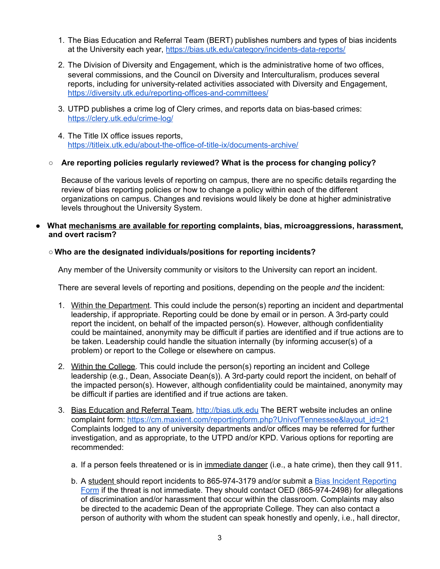- 1. The Bias Education and Referral Team (BERT) publishes numbers and types of bias incidents at the University each year, <https://bias.utk.edu/category/incidents-data-reports/>
- 2. The Division of Diversity and Engagement, which is the administrative home of two offices, several commissions, and the Council on Diversity and Interculturalism, produces several reports, including for university-related activities associated with Diversity and Engagement, <https://diversity.utk.edu/reporting-offices-and-committees/>
- 3. UTPD publishes a crime log of Clery crimes, and reports data on bias-based crimes: <https://clery.utk.edu/crime-log/>
- 4. The Title IX office issues reports, <https://titleix.utk.edu/about-the-office-of-title-ix/documents-archive/>

# **○ Are reporting policies regularly reviewed? What is the process for changing policy?**

Because of the various levels of reporting on campus, there are no specific details regarding the review of bias reporting policies or how to change a policy within each of the different organizations on campus. Changes and revisions would likely be done at higher administrative levels throughout the University System.

## ● **What mechanisms are available for reporting complaints, bias, microaggressions, harassment, and overt racism?**

# ○ **Who are the designated individuals/positions for reporting incidents?**

Any member of the University community or visitors to the University can report an incident.

There are several levels of reporting and positions, depending on the people *and* the incident:

- 1. Within the Department. This could include the person(s) reporting an incident and departmental leadership, if appropriate. Reporting could be done by email or in person. A 3rd-party could report the incident, on behalf of the impacted person(s). However, although confidentiality could be maintained, anonymity may be difficult if parties are identified and if true actions are to be taken. Leadership could handle the situation internally (by informing accuser(s) of a problem) or report to the College or elsewhere on campus.
- 2. Within the College. This could include the person(s) reporting an incident and College leadership (e.g., Dean, Associate Dean(s)). A 3rd-party could report the incident, on behalf of the impacted person(s). However, although confidentiality could be maintained, anonymity may be difficult if parties are identified and if true actions are taken.
- 3. Bias Education and Referral Team, [http://bias.utk.edu](http://bias.utk.edu/) The BERT website includes an online complaint form: [https://cm.maxient.com/reportingform.php?UnivofTennessee&layout\\_id=21](https://cm.maxient.com/reportingform.php?UnivofTennessee&layout_id=21) Complaints lodged to any of university departments and/or offices may be referred for further investigation, and as appropriate, to the UTPD and/or KPD. Various options for reporting are recommended:
	- a. If a person feels threatened or is in immediate danger (i.e., a hate crime), then they call 911.
	- b. A student should report incidents to 865-974-3179 and/or submit a Bias Incident [Reporting](https://cm.maxient.com/reportingform.php?UnivofTennessee&layout_id=21) [Form](https://cm.maxient.com/reportingform.php?UnivofTennessee&layout_id=21) if the threat is not immediate. They should contact OED (865-974-2498) for allegations of discrimination and/or harassment that occur within the classroom. Complaints may also be directed to the academic Dean of the appropriate College. They can also contact a person of authority with whom the student can speak honestly and openly, i.e., hall director,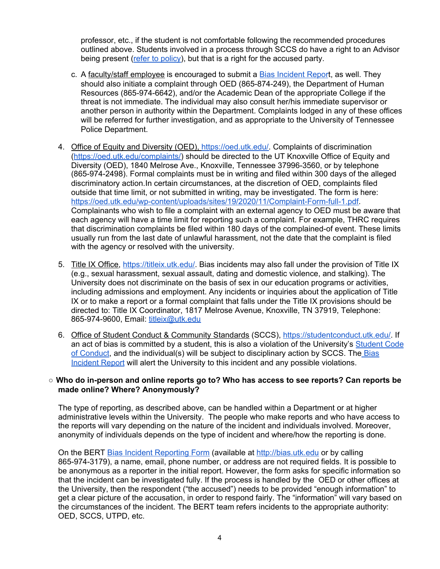professor, etc., if the student is not comfortable following the recommended procedures outlined above. Students involved in a process through SCCS do have a right to an Advisor being present (refer to [policy\)](https://studentconduct.utk.edu/wp-content/uploads/sites/53/2020/08/FUNDAMENTAL-RIGHTS-RESPONDENT-8-2020.pdf), but that is a right for the accused party.

- c. A faculty/staff employee is encouraged to submit a Bias [Incident](https://cm.maxient.com/reportingform.php?UnivofTennessee&layout_id=21) Report, as well. They should also initiate a complaint through OED (865-874-249), the Department of Human Resources (865-974-6642), and/or the Academic Dean of the appropriate College if the threat is not immediate. The individual may also consult her/his immediate supervisor or another person in authority within the Department. Complaints lodged in any of these offices will be referred for further investigation, and as appropriate to the University of Tennessee Police Department.
- 4. Office of Equity and Diversity (OED), [https://oed.utk.edu/.](https://oed.utk.edu/) Complaints of discrimination ([https://oed.utk.edu/complaints/\)](https://oed.utk.edu/complaints/) should be directed to the UT Knoxville Office of Equity and Diversity (OED), 1840 Melrose Ave., Knoxville, Tennessee 37996-3560, or by telephone (865-974-2498). Formal complaints must be in writing and filed within 300 days of the alleged discriminatory action.In certain circumstances, at the discretion of OED, complaints filed outside that time limit, or not submitted in writing, may be investigated. The form is here: [https://oed.utk.edu/wp-content/uploads/sites/19/2020/11/Complaint-Form-full-1.pdf.](https://oed.utk.edu/wp-content/uploads/sites/19/2020/11/Complaint-Form-full-1.pdf) Complainants who wish to file a complaint with an external agency to OED must be aware that each agency will have a time limit for reporting such a complaint. For example, THRC requires that discrimination complaints be filed within 180 days of the complained-of event. These limits usually run from the last date of unlawful harassment, not the date that the complaint is filed with the agency or resolved with the university.
- 5. Title IX Office, [https://titleix.utk.edu/.](https://titleix.utk.edu/) Bias incidents may also fall under the provision of Title IX (e.g., sexual harassment, sexual assault, dating and domestic violence, and stalking). The University does not discriminate on the basis of sex in our education programs or activities, including admissions and employment. Any incidents or inquiries about the application of Title IX or to make a report or a formal complaint that falls under the Title IX provisions should be directed to: Title IX Coordinator, 1817 Melrose Avenue, Knoxville, TN 37919, Telephone: 865-974-9600, Email: [titleix@utk.edu](mailto:titleix@utk.edu)
- 6. Office of Student Conduct & Community Standards (SCCS), [https://studentconduct.utk.edu/.](https://studentconduct.utk.edu/) If an act of bias is committed by a student, this is also a violation of the University's [Student](https://studentconduct.utk.edu/standards-of-conduct-overview/) Code of [Conduct](https://studentconduct.utk.edu/standards-of-conduct-overview/), and the individual(s) will be subject to disciplinary action by SCCS. The [Bias](https://cm.maxient.com/reportingform.php?UnivofTennessee&layout_id=21) [Incident](https://cm.maxient.com/reportingform.php?UnivofTennessee&layout_id=21) Report will alert the University to this incident and any possible violations.

### ○ **Who do in-person and online reports go to? Who has access to see reports? Can reports be made online? Where? Anonymously?**

The type of reporting, as described above, can be handled within a Department or at higher administrative levels within the University. The people who make reports and who have access to the reports will vary depending on the nature of the incident and individuals involved. Moreover, anonymity of individuals depends on the type of incident and where/how the reporting is done.

On the BERT Bias Incident [Reporting](https://cm.maxient.com/reportingform.php?UnivofTennessee&layout_id=21) Form (available at [http://bias.utk.edu](http://bias.utk.edu/) or by calling 865-974-3179), a name, email, phone number, or address are not required fields. It is possible to be anonymous as a reporter in the initial report. However, the form asks for specific information so that the incident can be investigated fully. If the process is handled by the OED or other offices at the University, then the respondent ("the accused") needs to be provided "enough information" to get a clear picture of the accusation, in order to respond fairly. The "information" will vary based on the circumstances of the incident. The BERT team refers incidents to the appropriate authority: OED, SCCS, UTPD, etc.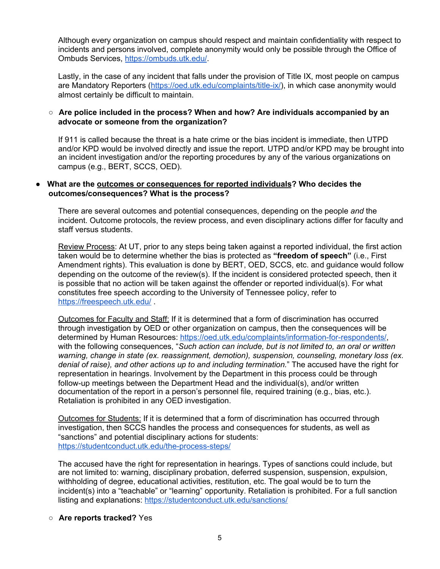Although every organization on campus should respect and maintain confidentiality with respect to incidents and persons involved, complete anonymity would only be possible through the Office of Ombuds Services, <https://ombuds.utk.edu/>.

Lastly, in the case of any incident that falls under the provision of Title IX, most people on campus are Mandatory Reporters ([https://oed.utk.edu/complaints/title-ix/\)](https://oed.utk.edu/complaints/title-ix/), in which case anonymity would almost certainly be difficult to maintain.

## ○ **Are police included in the process? When and how? Are individuals accompanied by an advocate or someone from the organization?**

If 911 is called because the threat is a hate crime or the bias incident is immediate, then UTPD and/or KPD would be involved directly and issue the report. UTPD and/or KPD may be brought into an incident investigation and/or the reporting procedures by any of the various organizations on campus (e.g., BERT, SCCS, OED).

### ● **What are the outcomes or consequences for reported individuals? Who decides the outcomes/consequences? What is the process?**

There are several outcomes and potential consequences, depending on the people *and* the incident. Outcome protocols, the review process, and even disciplinary actions differ for faculty and staff versus students.

Review Process: At UT, prior to any steps being taken against a reported individual, the first action taken would be to determine whether the bias is protected as **"freedom of speech"** (i.e., First Amendment rights). This evaluation is done by BERT, OED, SCCS, etc. and guidance would follow depending on the outcome of the review(s). If the incident is considered protected speech, then it is possible that no action will be taken against the offender or reported individual(s). For what constitutes free speech according to the University of Tennessee policy, refer to <https://freespeech.utk.edu/> .

Outcomes for Faculty and Staff: If it is determined that a form of discrimination has occurred through investigation by OED or other organization on campus, then the consequences will be determined by Human Resources: <https://oed.utk.edu/complaints/information-for-respondents/>, with the following consequences, "*Such action can include, but is not limited to, an oral or written warning, change in state (ex. reassignment, demotion), suspension, counseling, monetary loss (ex. denial of raise), and other actions up to and including termination.*" The accused have the right for representation in hearings. Involvement by the Department in this process could be through follow-up meetings between the Department Head and the individual(s), and/or written documentation of the report in a person's personnel file, required training (e.g., bias, etc.). Retaliation is prohibited in any OED investigation.

Outcomes for Students: If it is determined that a form of discrimination has occurred through investigation, then SCCS handles the process and consequences for students, as well as "sanctions" and potential disciplinary actions for students: <https://studentconduct.utk.edu/the-process-steps/>

The accused have the right for representation in hearings. Types of sanctions could include, but are not limited to: warning, disciplinary probation, deferred suspension, suspension, expulsion, withholding of degree, educational activities, restitution, etc. The goal would be to turn the incident(s) into a "teachable" or "learning" opportunity. Retaliation is prohibited. For a full sanction listing and explanations: <https://studentconduct.utk.edu/sanctions/>

#### ○ **Are reports tracked?** Yes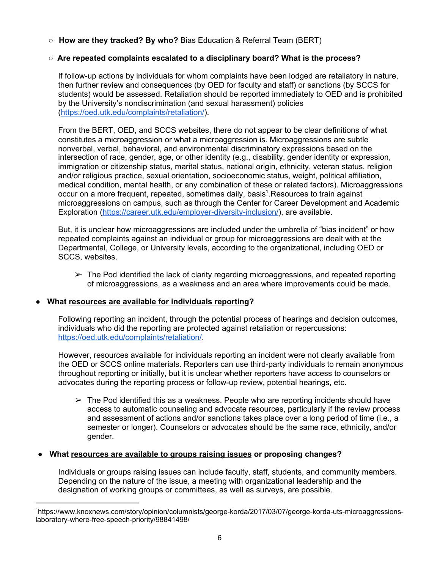# ○ **How are they tracked? By who?** Bias Education & Referral Team (BERT)

# **○ Are repeated complaints escalated to a disciplinary board? What is the process?**

If follow-up actions by individuals for whom complaints have been lodged are retaliatory in nature, then further review and consequences (by OED for faculty and staff) or sanctions (by SCCS for students) would be assessed. Retaliation should be reported immediately to OED and is prohibited by the University's nondiscrimination (and sexual harassment) policies (<https://oed.utk.edu/complaints/retaliation/>).

From the BERT, OED, and SCCS websites, there do not appear to be clear definitions of what constitutes a microaggression or what a microaggression is. Microaggressions are subtle nonverbal, verbal, behavioral, and environmental discriminatory expressions based on the intersection of race, gender, age, or other identity (e.g., disability, gender identity or expression, immigration or citizenship status, marital status, national origin, ethnicity, veteran status, religion and/or religious practice, sexual orientation, socioeconomic status, weight, political affiliation, medical condition, mental health, or any combination of these or related factors). Microaggressions occur on a more frequent, repeated, sometimes daily, basis<sup>1</sup>. Resources to train against microaggressions on campus, such as through the Center for Career Development and Academic Exploration [\(https://career.utk.edu/employer-diversity-inclusion/\)](https://career.utk.edu/employer-diversity-inclusion/), are available.

But, it is unclear how microaggressions are included under the umbrella of "bias incident" or how repeated complaints against an individual or group for microaggressions are dealt with at the Departmental, College, or University levels, according to the organizational, including OED or SCCS, websites.

 $\triangleright$  The Pod identified the lack of clarity regarding microaggressions, and repeated reporting of microaggressions, as a weakness and an area where improvements could be made.

## ● **What resources are available for individuals reporting?**

Following reporting an incident, through the potential process of hearings and decision outcomes, individuals who did the reporting are protected against retaliation or repercussions: <https://oed.utk.edu/complaints/retaliation/>.

However, resources available for individuals reporting an incident were not clearly available from the OED or SCCS online materials. Reporters can use third-party individuals to remain anonymous throughout reporting or initially, but it is unclear whether reporters have access to counselors or advocates during the reporting process or follow-up review, potential hearings, etc.

 $\geq$  The Pod identified this as a weakness. People who are reporting incidents should have access to automatic counseling and advocate resources, particularly if the review process and assessment of actions and/or sanctions takes place over a long period of time (i.e., a semester or longer). Counselors or advocates should be the same race, ethnicity, and/or gender.

## ● **What resources are available to groups raising issues or proposing changes?**

Individuals or groups raising issues can include faculty, staff, students, and community members. Depending on the nature of the issue, a meeting with organizational leadership and the designation of working groups or committees, as well as surveys, are possible.

<sup>1</sup>https://www.knoxnews.com/story/opinion/columnists/george-korda/2017/03/07/george-korda-uts-microaggressionslaboratory-where-free-speech-priority/98841498/